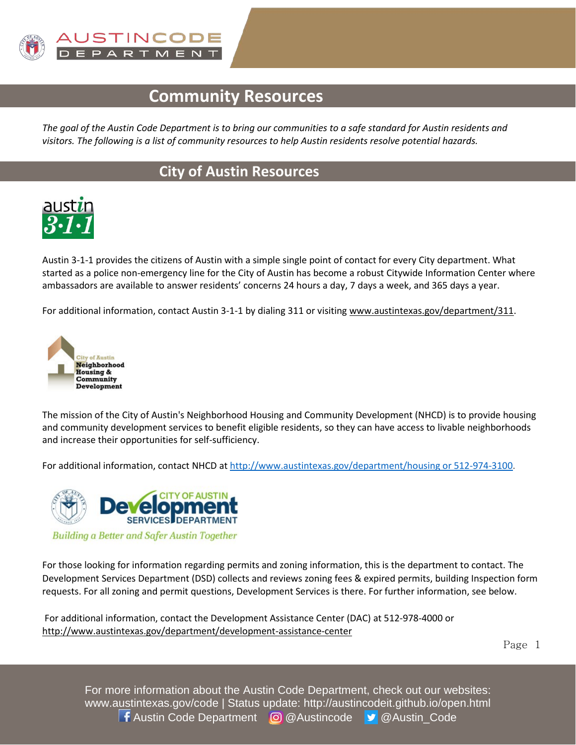

# **Community Resources**

*The goal of the Austin Code Department is to bring our communities to a safe standard for Austin residents and visitors. The following is a list of community resources to help Austin residents resolve potential hazards.* 

## **City of Austin Resources**



Austin 3-1-1 provides the citizens of Austin with a simple single point of contact for every City department. What started as a police non-emergency line for the City of Austin has become a robust Citywide Information Center where ambassadors are available to answer residents' concerns 24 hours a day, 7 days a week, and 365 days a year.

For additional information, contact Austin 3-1-1 by dialing 311 or visiting [www.austintexas.gov/department/311.](http://www.austintexas.gov/department/311)



The mission of the City of Austin's Neighborhood Housing and Community Development (NHCD) is to provide housing and community development services to benefit eligible residents, so they can have access to livable neighborhoods and increase their opportunities for self-sufficiency.

For additional information, contact NHCD a[t http://www.austintexas.gov/department/housing or 512-974-3100.](http://www.austintexas.gov/department/housing%20or%20512-974-3100)



For those looking for information regarding permits and zoning information, this is the department to contact. The Development Services Department (DSD) collects and reviews zoning fees & expired permits, building Inspection form requests. For all zoning and permit questions, Development Services is there. For further information, see below.

For additional information, contact the Development Assistance Center (DAC) at 512-978-4000 or <http://www.austintexas.gov/department/development-assistance-center>

Page 1

For more information about the Austin Code Department, check out our websites: www.austintexas.gov/code | Status update: http://austincodeit.github.io/open.html **f** Austin Code Department @ @Austincode **y** @Austin Code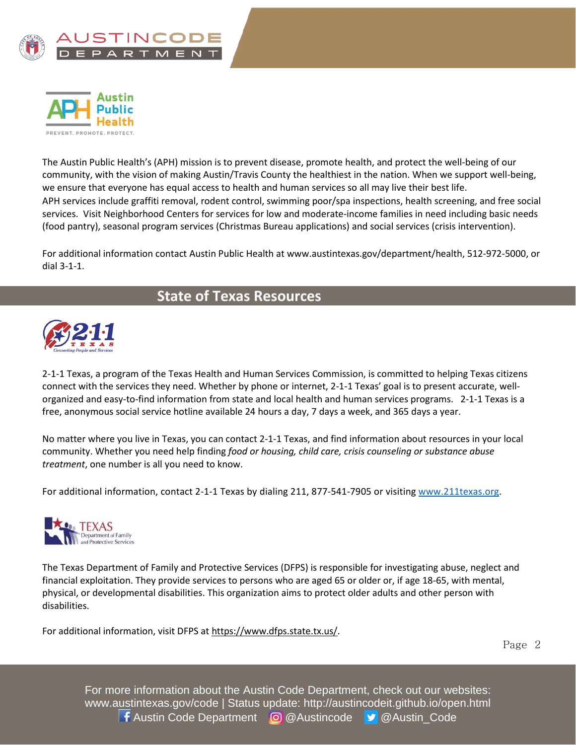



The Austin Public Health's (APH) mission is to prevent disease, promote health, and protect the well-being of our community, with the vision of making Austin/Travis County the healthiest in the nation. When we support well-being, we ensure that everyone has equal access to health and human services so all may live their best life. APH services include graffiti removal, rodent control, swimming poor/spa inspections, health screening, and free social services. Visit Neighborhood Centers for services for low and moderate-income families in need including basic needs (food pantry), seasonal program services (Christmas Bureau applications) and social services (crisis intervention).

For additional information contact Austin Public Health at www.austintexas.gov/department/health, 512-972-5000, or dial 3-1-1.

## **State of Texas Resources**



2-1-1 Texas, a program of the Texas Health and Human Services Commission, is committed to helping Texas citizens connect with the services they need. Whether by phone or internet, 2-1-1 Texas' goal is to present accurate, wellorganized and easy-to-find information from state and local health and human services programs. 2-1-1 Texas is a free, anonymous social service hotline available 24 hours a day, 7 days a week, and 365 days a year.

No matter where you live in Texas, you can contact 2-1-1 Texas, and find information about resources in your local community. Whether you need help finding *food or housing, child care, crisis counseling or substance abuse treatment*, one number is all you need to know.

For additional information, contact 2-1-1 Texas by dialing 211, 877-541-7905 or visiting [www.211texas.org.](http://www.211texas.org/)



The Texas Department of Family and Protective Services (DFPS) is responsible for investigating abuse, neglect and financial exploitation. They provide services to persons who are aged 65 or older or, if age 18-65, with mental, physical, or developmental disabilities. This organization aims to protect older adults and other person with disabilities.

For additional information, visit DFPS at [https://www.dfps.state.tx.us/.](https://www.dfps.state.tx.us/)

Page 2

For more information about the Austin Code Department, check out our websites: www.austintexas.gov/code | Status update: http://austincodeit.github.io/open.html **f** Austin Code Department **@** @Austincode **y** @Austin Code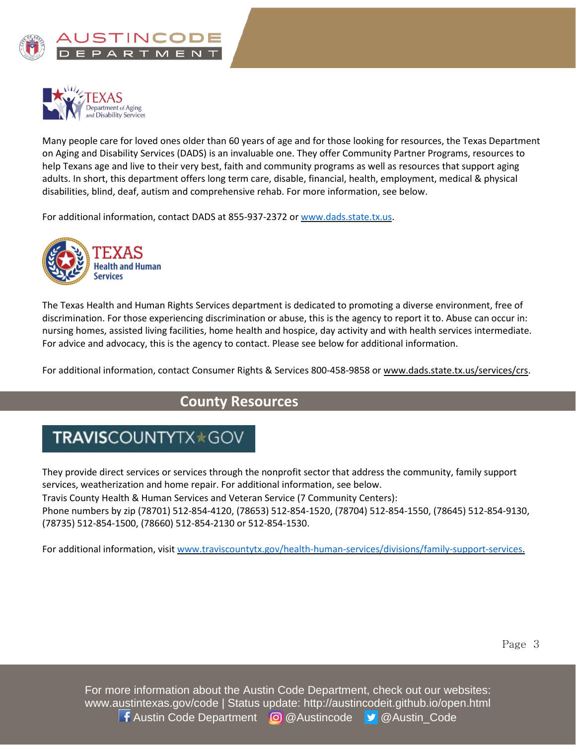



Many people care for loved ones older than 60 years of age and for those looking for resources, the Texas Department on Aging and Disability Services (DADS) is an invaluable one. They offer Community Partner Programs, resources to help Texans age and live to their very best, faith and community programs as well as resources that support aging adults. In short, this department offers long term care, disable, financial, health, employment, medical & physical disabilities, blind, deaf, autism and comprehensive rehab. For more information, see below.

For additional information, contact DADS at 855-937-2372 or [www.dads.state.tx.us.](http://www.dads.state.tx.us/)



The Texas Health and Human Rights Services department is dedicated to promoting a diverse environment, free of discrimination. For those experiencing discrimination or abuse, this is the agency to report it to. Abuse can occur in: nursing homes, assisted living facilities, home health and hospice, day activity and with health services intermediate. For advice and advocacy, this is the agency to contact. Please see below for additional information.

For additional information, contact Consumer Rights & Services 800-458-9858 or www.dads.state.tx.us/services/crs.

#### **County Resources**

# TRAVISCOUNTYTX\*GOV

They provide direct services or services through the nonprofit sector that address the community, family support services, weatherization and home repair. For additional information, see below.

Travis County Health & Human Services and Veteran Service (7 Community Centers):

Phone numbers by zip (78701) 512-854-4120, (78653) 512-854-1520, (78704) 512-854-1550, (78645) 512-854-9130, (78735) 512-854-1500, (78660) 512-854-2130 or 512-854-1530.

For additional information, visi[t www.traviscountytx.gov/health-human-services/divisions/family-support-services.](http://www.traviscountytx.gov/health-human-services/divisions/family-support-services)

For more information about the Austin Code Department, check out our websites: www.austintexas.gov/code | Status update: http://austincodeit.github.io/open.html **f** Austin Code Department @ @Austincode **y** @Austin Code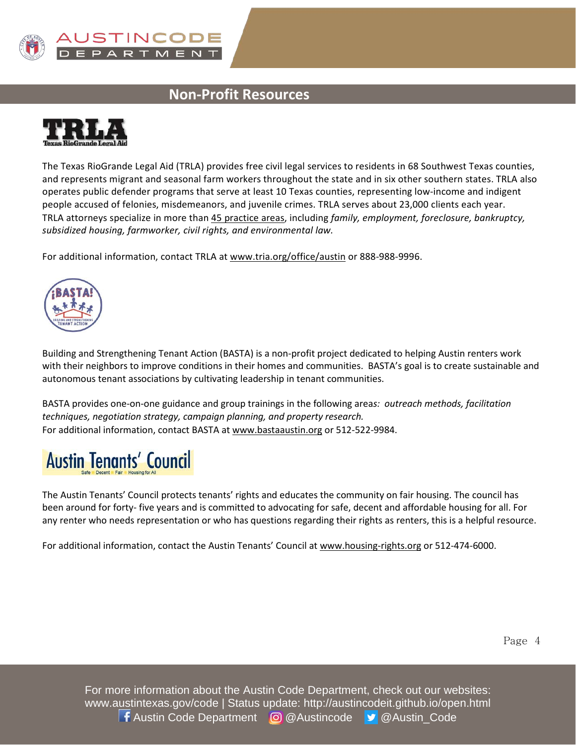

### **Non-Profit Resources**



The Texas RioGrande Legal Aid (TRLA) provides free civil legal services to residents in 68 Southwest Texas counties, and represents migrant and seasonal farm workers throughout the state and in six other southern states. TRLA also operates public defender programs that serve at least 10 Texas counties, representing low-income and indigent people accused of felonies, misdemeanors, and juvenile crimes. TRLA serves about 23,000 clients each year. TRLA attorneys specialize in more tha[n 45 practice areas,](http://www.trla.org/practice-areas) including *family, employment, foreclosure, bankruptcy, subsidized housing, farmworker, civil rights, and environmental law.*

For additional information, contact TRLA a[t www.tria.org/office/austin](http://www.tria.org/office/austin) or 888-988-9996.



Building and Strengthening Tenant Action (BASTA) is a non-profit project dedicated to helping Austin renters work with their neighbors to improve conditions in their homes and communities. BASTA's goal is to create sustainable and autonomous tenant associations by cultivating leadership in tenant communities.

BASTA provides one-on-one guidance and group trainings in the following area*s: outreach methods, facilitation techniques, negotiation strategy, campaign planning, and property research.* For additional information, contact BASTA at [www.bastaaustin.org](http://www.bastaaustin.org/) or 512-522-9984.

# **Austin Tenants' Council**

The Austin Tenants' Council protects tenants' rights and educates the community on fair housing. The council has been around for forty- five years and is committed to advocating for safe, decent and affordable housing for all. For any renter who needs representation or who has questions regarding their rights as renters, this is a helpful resource.

For additional information, contact the Austin Tenants' Council at [www.housing-rights.org](http://www.housing-rights.org/) or 512-474-6000.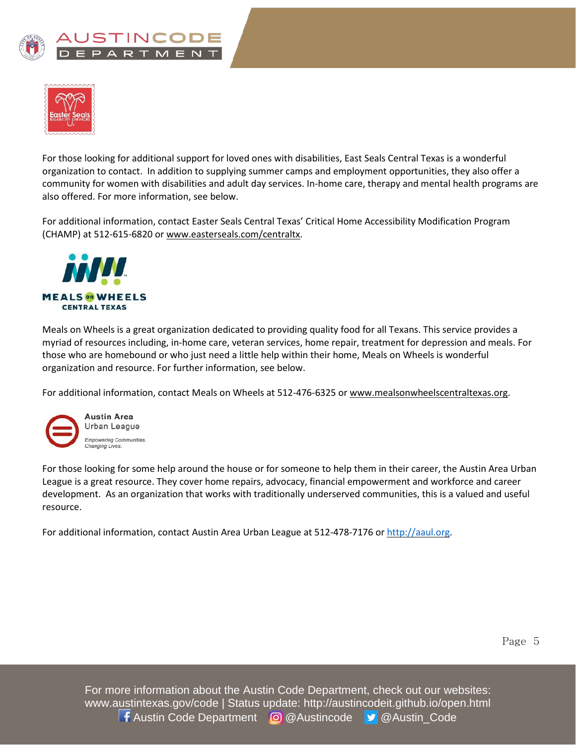



For those looking for additional support for loved ones with disabilities, East Seals Central Texas is a wonderful organization to contact. In addition to supplying summer camps and employment opportunities, they also offer a community for women with disabilities and adult day services. In-home care, therapy and mental health programs are also offered. For more information, see below.

For additional information, contact Easter Seals Central Texas' Critical Home Accessibility Modification Program (CHAMP) at 512-615-6820 or www.easterseals.com/centraltx.



Meals on Wheels is a great organization dedicated to providing quality food for all Texans. This service provides a myriad of resources including, in-home care, veteran services, home repair, treatment for depression and meals. For those who are homebound or who just need a little help within their home, Meals on Wheels is wonderful organization and resource. For further information, see below.

For additional information, contact Meals on Wheels at 512-476-6325 or www.mealsonwheelscentraltexas.org.



For those looking for some help around the house or for someone to help them in their career, the Austin Area Urban League is a great resource. They cover home repairs, advocacy, financial empowerment and workforce and career development. As an organization that works with traditionally underserved communities, this is a valued and useful resource.

For additional information, contact Austin Area Urban League at 512-478-7176 or [http://aaul.org.](http://aaul.org/)